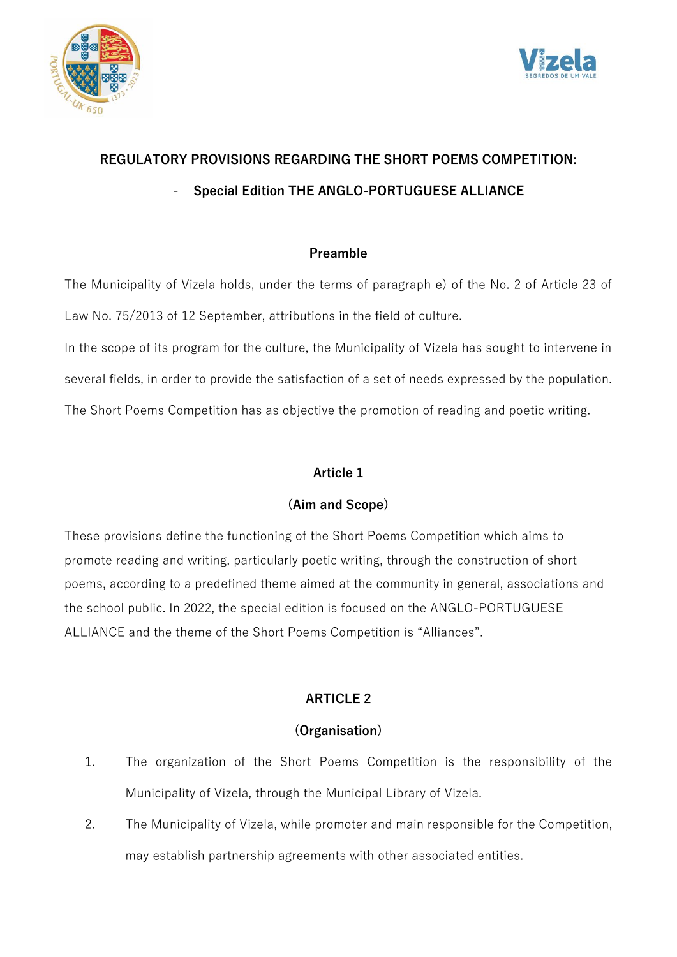



# **REGULATORY PROVISIONS REGARDING THE SHORT POEMS COMPETITION:** - **Special Edition THE ANGLO-PORTUGUESE ALLIANCE**

#### **Preamble**

The Municipality of Vizela holds, under the terms of paragraph e) of the No. 2 of Article 23 of Law No. 75/2013 of 12 September, attributions in the field of culture. In the scope of its program for the culture, the Municipality of Vizela has sought to intervene in several fields, in order to provide the satisfaction of a set of needs expressed by the population. The Short Poems Competition has as objective the promotion of reading and poetic writing.

#### **Article 1**

# **(Aim and Scope)**

These provisions define the functioning of the Short Poems Competition which aims to promote reading and writing, particularly poetic writing, through the construction of short poems, according to a predefined theme aimed at the community in general, associations and the school public. In 2022, the special edition is focused on the ANGLO-PORTUGUESE ALLIANCE and the theme of the Short Poems Competition is "Alliances".

# **ARTICLE 2**

# **(Organisation)**

- 1. The organization of the Short Poems Competition is the responsibility of the Municipality of Vizela, through the Municipal Library of Vizela.
- 2. The Municipality of Vizela, while promoter and main responsible for the Competition, may establish partnership agreements with other associated entities.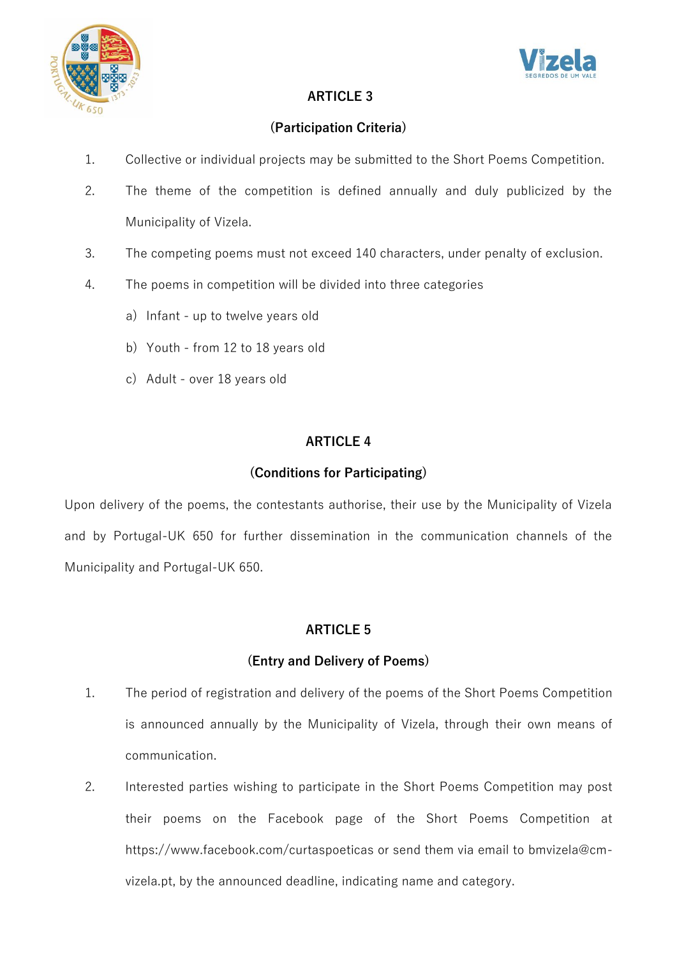



#### **ARTICLE 3**

#### **(Participation Criteria)**

- 1. Collective or individual projects may be submitted to the Short Poems Competition.
- 2. The theme of the competition is defined annually and duly publicized by the Municipality of Vizela.
- 3. The competing poems must not exceed 140 characters, under penalty of exclusion.
- 4. The poems in competition will be divided into three categories
	- a) Infant up to twelve years old
	- b) Youth from 12 to 18 years old
	- c) Adult over 18 years old

#### **ARTICLE 4**

#### **(Conditions for Participating)**

Upon delivery of the poems, the contestants authorise, their use by the Municipality of Vizela and by Portugal-UK 650 for further dissemination in the communication channels of the Municipality and Portugal-UK 650.

#### **ARTICLE 5**

#### **(Entry and Delivery of Poems)**

- 1. The period of registration and delivery of the poems of the Short Poems Competition is announced annually by the Municipality of Vizela, through their own means of communication.
- 2. Interested parties wishing to participate in the Short Poems Competition may post their poems on the Facebook page of the Short Poems Competition at https://www.facebook.com/curtaspoeticas or send them via email to bmvizela@cmvizela.pt, by the announced deadline, indicating name and category.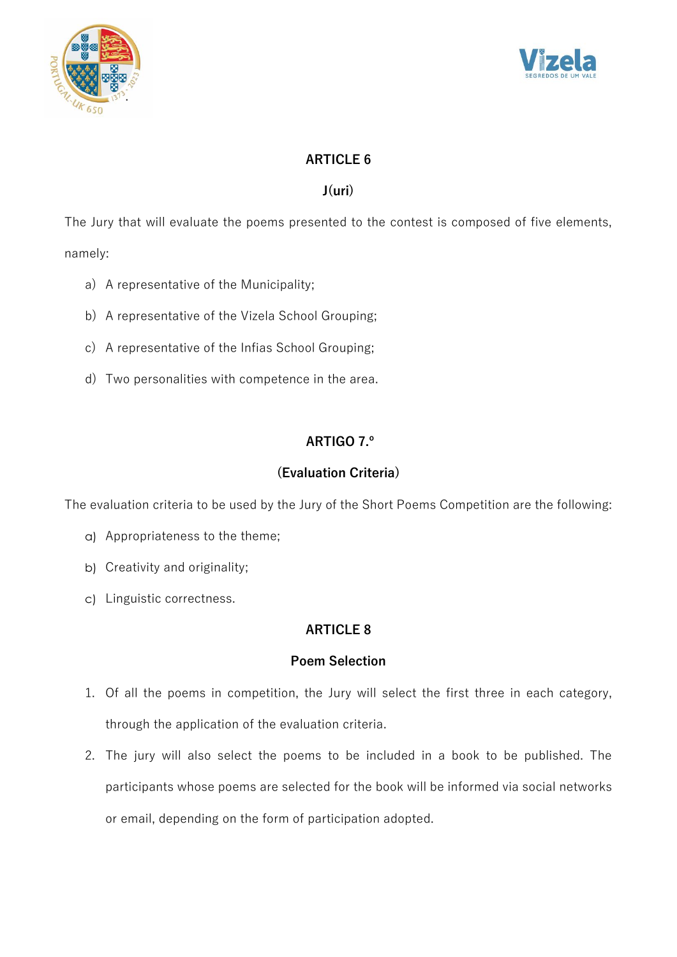



### **ARTICLE 6**

#### **J(uri)**

The Jury that will evaluate the poems presented to the contest is composed of five elements, namely:

- a) A representative of the Municipality;
- b) A representative of the Vizela School Grouping;
- c) A representative of the Infias School Grouping;
- d) Two personalities with competence in the area.

# **ARTIGO 7.º**

### **(Evaluation Criteria)**

The evaluation criteria to be used by the Jury of the Short Poems Competition are the following:

- a) Appropriateness to the theme;
- b) Creativity and originality;
- c) Linguistic correctness.

#### **ARTICLE 8**

#### **Poem Selection**

- 1. Of all the poems in competition, the Jury will select the first three in each category, through the application of the evaluation criteria.
- 2. The jury will also select the poems to be included in a book to be published. The participants whose poems are selected for the book will be informed via social networks or email, depending on the form of participation adopted.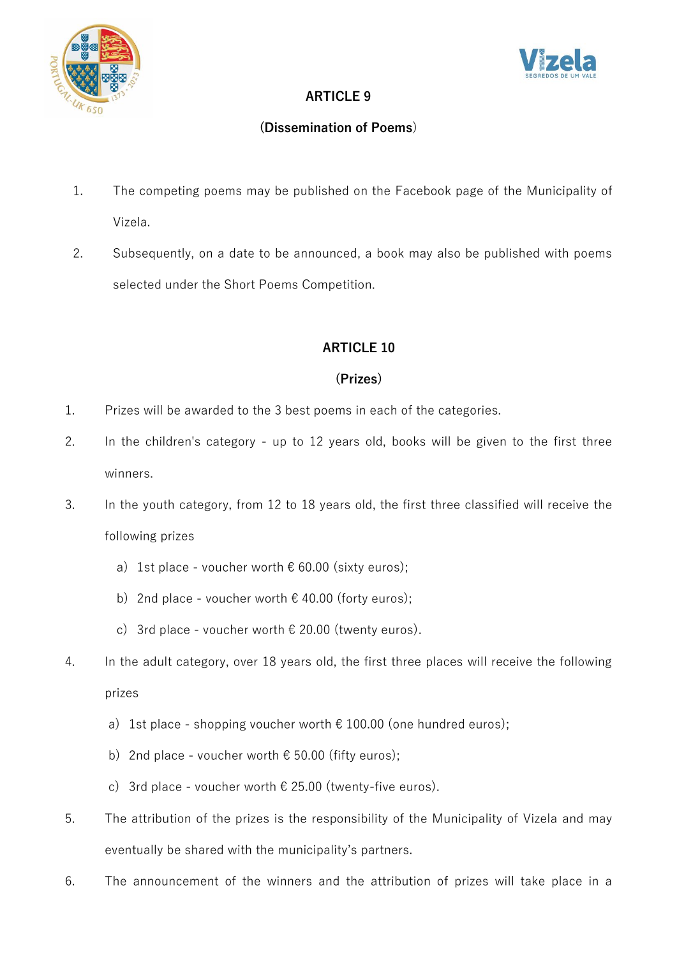



# **ARTICLE 9**

# **(Dissemination of Poems**)

- 1. The competing poems may be published on the Facebook page of the Municipality of Vizela.
- 2. Subsequently, on a date to be announced, a book may also be published with poems selected under the Short Poems Competition.

# **ARTICLE 10**

# **(Prizes)**

- 1. Prizes will be awarded to the 3 best poems in each of the categories.
- 2. In the children's category up to 12 years old, books will be given to the first three winners.
- 3. In the youth category, from 12 to 18 years old, the first three classified will receive the following prizes
	- a) 1st place voucher worth  $\epsilon$  60.00 (sixty euros);
	- b) 2nd place voucher worth  $\epsilon$  40.00 (forty euros);
	- c) 3rd place voucher worth  $\epsilon$  20.00 (twenty euros).
- 4. In the adult category, over 18 years old, the first three places will receive the following prizes
	- a) 1st place shopping voucher worth  $\epsilon$  100.00 (one hundred euros);
	- b) 2nd place voucher worth  $\epsilon$  50.00 (fifty euros);
	- c) 3rd place voucher worth  $\epsilon$  25.00 (twenty-five euros).
- 5. The attribution of the prizes is the responsibility of the Municipality of Vizela and may eventually be shared with the municipality's partners.
- 6. The announcement of the winners and the attribution of prizes will take place in a